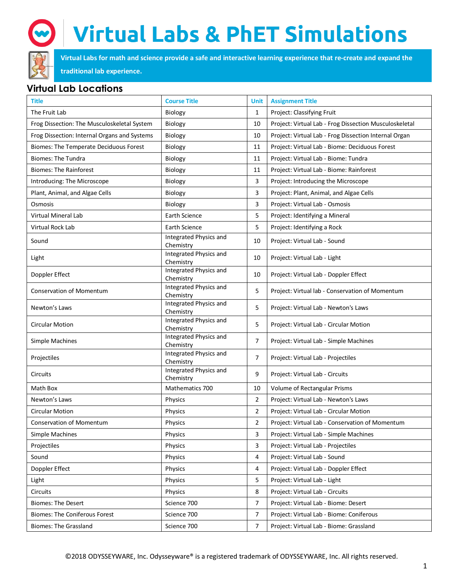

## **Virtual Labs & PhET Simulations**

**Virtual Labs for math and science provide a safe and interactive learning experience that re-create and expand the** 

#### **traditional lab experience.**

### **Virtual Lab Locations**

| <b>Title</b>                                 | <b>Course Title</b>                 | <b>Unit</b>    | <b>Assignment Title</b>                                |
|----------------------------------------------|-------------------------------------|----------------|--------------------------------------------------------|
| The Fruit Lab                                | Biology                             | $\mathbf{1}$   | Project: Classifying Fruit                             |
| Frog Dissection: The Musculoskeletal System  | Biology                             | 10             | Project: Virtual Lab - Frog Dissection Musculoskeletal |
| Frog Dissection: Internal Organs and Systems | Biology                             | 10             | Project: Virtual Lab - Frog Dissection Internal Organ  |
| Biomes: The Temperate Deciduous Forest       | Biology                             | 11             | Project: Virtual Lab - Biome: Deciduous Forest         |
| <b>Biomes: The Tundra</b>                    | Biology                             | 11             | Project: Virtual Lab - Biome: Tundra                   |
| <b>Biomes: The Rainforest</b>                | Biology                             | 11             | Project: Virtual Lab - Biome: Rainforest               |
| Introducing: The Microscope                  | Biology                             | 3              | Project: Introducing the Microscope                    |
| Plant, Animal, and Algae Cells               | Biology                             | 3              | Project: Plant, Animal, and Algae Cells                |
| Osmosis                                      | Biology                             | 3              | Project: Virtual Lab - Osmosis                         |
| Virtual Mineral Lab                          | Earth Science                       | 5              | Project: Identifying a Mineral                         |
| Virtual Rock Lab                             | Earth Science                       | 5              | Project: Identifying a Rock                            |
| Sound                                        | Integrated Physics and<br>Chemistry | 10             | Project: Virtual Lab - Sound                           |
| Light                                        | Integrated Physics and<br>Chemistry | 10             | Project: Virtual Lab - Light                           |
| Doppler Effect                               | Integrated Physics and<br>Chemistry | 10             | Project: Virtual Lab - Doppler Effect                  |
| <b>Conservation of Momentum</b>              | Integrated Physics and<br>Chemistry | 5              | Project: Virtual lab - Conservation of Momentum        |
| Newton's Laws                                | Integrated Physics and<br>Chemistry | 5              | Project: Virtual Lab - Newton's Laws                   |
| <b>Circular Motion</b>                       | Integrated Physics and<br>Chemistry | 5              | Project: Virtual Lab - Circular Motion                 |
| Simple Machines                              | Integrated Physics and<br>Chemistry | 7              | Project: Virtual Lab - Simple Machines                 |
| Projectiles                                  | Integrated Physics and<br>Chemistry | $\overline{7}$ | Project: Virtual Lab - Projectiles                     |
| Circuits                                     | Integrated Physics and<br>Chemistry | 9              | Project: Virtual Lab - Circuits                        |
| Math Box                                     | Mathematics 700                     | 10             | Volume of Rectangular Prisms                           |
| Newton's Laws                                | Physics                             | 2              | Project: Virtual Lab - Newton's Laws                   |
| <b>Circular Motion</b>                       | Physics                             | 2              | Project: Virtual Lab - Circular Motion                 |
| <b>Conservation of Momentum</b>              | Physics                             | $\overline{2}$ | Project: Virtual Lab - Conservation of Momentum        |
| Simple Machines                              | Physics                             | 3              | Project: Virtual Lab - Simple Machines                 |
| Projectiles                                  | Physics                             | 3              | Project: Virtual Lab - Projectiles                     |
| Sound                                        | Physics                             | 4              | Project: Virtual Lab - Sound                           |
| Doppler Effect                               | Physics                             | 4              | Project: Virtual Lab - Doppler Effect                  |
| Light                                        | Physics                             | 5              | Project: Virtual Lab - Light                           |
| Circuits                                     | Physics                             | 8              | Project: Virtual Lab - Circuits                        |
| Biomes: The Desert                           | Science 700                         | 7              | Project: Virtual Lab - Biome: Desert                   |
| Biomes: The Coniferous Forest                | Science 700                         | 7              | Project: Virtual Lab - Biome: Coniferous               |
| Biomes: The Grassland                        | Science 700                         | 7              | Project: Virtual Lab - Biome: Grassland                |